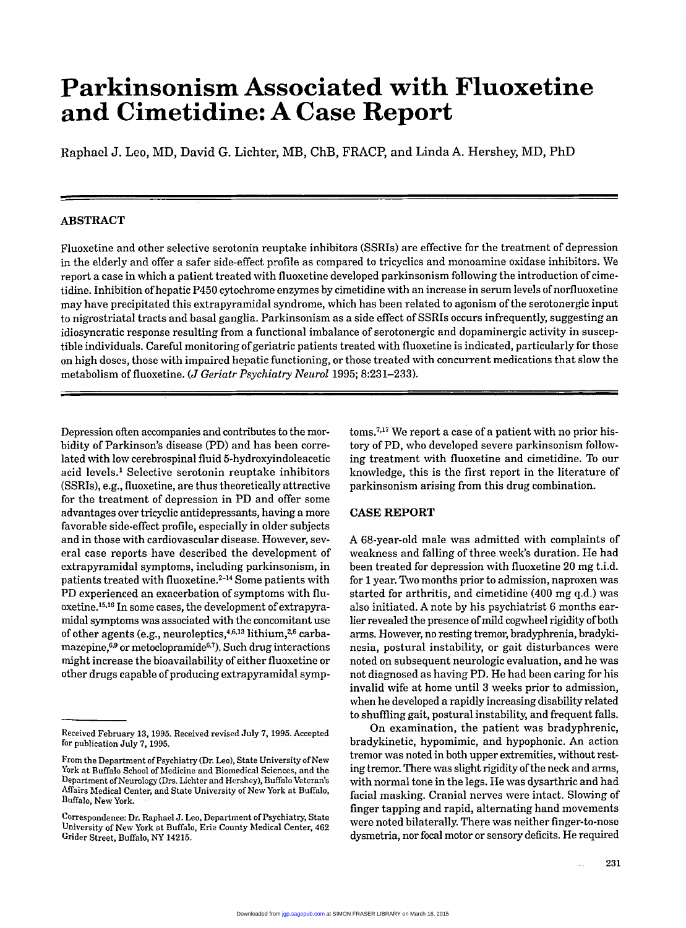# **Parkinsonism Associated with Fluoxetine and Cirnetidine: A Case Report**

Raphael J. Leo, MD, David G. Lichter, MB, ChB, FRACP, and Linda A. Hershey, MD, PhD

## **ABSTRACT**

Fluoxetine and other selective serotonin reuptake inhibitors (SSRIs) are effective for the treatment of depression in the elderly and offer a safer side-effect profile as compared to tricyclics and monoamine oxidase inhibitors. We report a case in which a patient treated with fluoxetine developed parkinsonism following the introduction of cimetidine. Inhibition of hepatic P450 cytochrome enzymes by cimetidine with an increase in serum levels of norfluoxetine may have precipitated this extrapyramidal syndrome, which has been related to agonism of the serotonergic input to nigrostriatal tracts and basal ganglia. Parkinsonism as a side effect of SSRIs occurs infrequently, suggesting an idiosyncratic response resulting from a functional imbalance of serotonergic and dopaminergic activity in susceptible individuals. Careful monitoring of geriatric patients treated with fluoxetine is indicated, particularly for those on high doses, those with impaired hepatic functioning, or those treated with concurrent medications that slow the metabolism of fluoxetine. *(J Geriatr Psychiatry Neiirol* **1995; 8:231-233).** 

Depression often accompanies and contributes to the morbidity of Parkinson's disease **(PD)** and has been correlated with low cerebrospinal fluid 5-hydroxyindoleacetic acid levels.' Selective serotonin reuptake inhibitors (SSRIs), e.g., fluoxetine, are thus theoretically attractive for the treatment of depression in PD and offer some advantages over tricyclic antidepressants, having a more favorable side-effect profile, especially in older subjects and in those with cardiovascular disease. However, several case reports have described the development of extrapyramidal symptoms, including parkinsonism, in patients treated with fluoxetine.<sup>2-14</sup> Some patients with PD experienced an exacerbation of symptoms with fluoxetine.15J6 In some cases, the development of extrapyramidal symptoms was associated with the concomitant use of other agents (e.g., neuroleptics,<sup>4,6,13</sup> lithium,<sup>2,6</sup> carbamazepine, $6.9$  or metoclopramide $6.7$ ). Such drug interactions might increase the bioavailability of either fluoxetine or other drugs capable of producing extrapyramidal symp-

toms?J7 **We** report a case **ofa** patient with no prior history of PD, who developed severe parkinsonism following treatment with fluoxetine and cimetidine. To our knowledge, this is the first report in the literature of parkinsonism arising from this drug combination.

### **CASE REPORT**

**A** 68-year-old male was admitted with complaints of weakness and falling of three week's duration. He had been treated for depression with fluoxetine **20** mg t.i.d. for **1** year. Two months prior to admission, naproxen was started for arthritis, and cimetidine  $(400 \text{ mg } q.d.)$  was also initiated. Anote by his psychiatrist 6 months earlier revealed the presence of mild cogwheel rigidity of both arms. However, no resting tremor, bradyphrenia, bradykinesia, postural instability, or gait disturbances were noted on subsequent neurologic evaluation, and he was not diagnosed as having PD. He had been caring for his invalid wife at home until **3** weeks prior to admission, when he developed a rapidly increasing disability related to shuffling gait, postural instability, and frequent falls.

On examination, the patient was bradyphrenic, bradykinetic, hypomimic, and hypophonic. **An** action tremor was noted in both upper extremities, without resting tremor. There was slight rigidity of the neck and arms, with normal tone in the legs. He was dysarthric and had facial masking. Cranial nerves were intact. Slowing of finger tapping and rapid, alternating hand movements were noted bilaterally. There was neither finger-to-nose dysmetria, nor focal motor or sensory deficits. He required

Received February **13, 1995.** Received revised July 7, **1995.** Accepted for publication July 7, **1995.** 

From the Department of Psychiatry (Dr. Leo), State University of New York at Buffalo School of Medicine and Biomedical Sciences, and the Department of Neurology (Drs. Lichter and Hershey), Buffalo Veteran's Affairs hfedical Center, and State University of **New** York at Buffalo, Buffalo, New York.

Correspondence: Dr. Raphael J. Leo, Department of Psychiatry, State University of **New** York at Buffalo, **Erie** County hfedical Center, **462**  Grider Street, Buffalo, *NY* **14215.**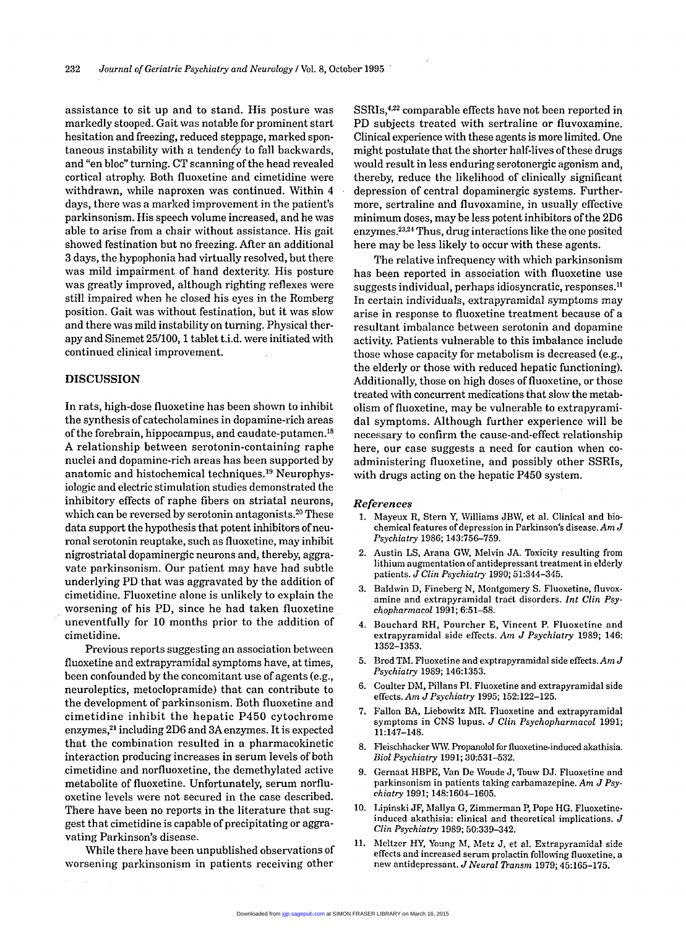assistance to sit up and to stand. His posture was markedly stooped. Gait was notable for prominent start hesitation and freezing, reduced steppage, marked spon-<br>taneous instability with a tendency to fall backwards. taneous instability with a tendency to fall backwards, and "en bloc" turning. CT scanning of the head revealed cortical atrophy, Both fluoxetine and cimetidine were withdrawn, while naproxen was continued. Within **4**  days, there was a marked improvement in the patient's parkinsonism. His speech volume increased, and he was able to arise from a chair without assistance. His gait showed festination but no freezing. After an additional 3 days, the hypophonia had virtually resolved, but there was mild impairment of hand dexterity. His posture was greatly improved, although righting reflexes were still impaired when he closed his eyes in the Romberg position. Gait was without festination, but it was slow and there was mild instability on turning. Physical therapy and Sinemet 25/100, 1 tablet t.i.d. were initiated with continued clinical improvement.

#### **DISCUSSION**

In rats, high-dose fluoxetine has been shown to inhibit the synthesis of catecholamines in dopamine-rich areas of the forebrain, hippocampus, and caudate-putamen.<sup>18</sup> A relationship between serotonin-containing raphe nuclei and dopamine-rich areas has been supported by anatomic and histochemical techniques.<sup>19</sup> Neurophysiologic and electric stimulation studies demonstrated the inhibitory effects of raphe fibers on striatal neurons, which can be reversed by serotonin antagonists.<sup>20</sup> These data support the hypothesis that potent inhibitors of neuronal serotonin reuptake, such as fluoxetine, may inhibit nigrostriatal dopaminergic neurons and, thereby, aggravate parkinsonism. Our patient may have had subtle underlying PD that was aggravated by the addition of cimetidine. Fluoxetine alone is unlikely to explain the worsening of his PD, since he had taken fluoxetine uneventfully for 10 months prior to the addition of cimetidine.

Previous reports suggesting an association between fluoxetine and extrapyramidal symptoms have, at times, been confounded by the concomitant use of agents (e.g., neuroleptics, metoclopramide) that can contribute to the development of parkinsonism. Both fluoxetine and cimetidine inhibit the hepatic P450 cytochrome enzymes,<sup>21</sup> including 2D6 and 3A enzymes. It is expected that the combination resulted in a pharmacokinetic interaction producing increases in serum levels of both cimetidine and norfluoxetine, the demethylated active metabolite of fluoxetine. Unfortunately, serum norfluoxetine levels were not secured in the case described. There have been no reports in the literature that suggest that cimetidine is capable of precipitating or aggravating Parkinson's disease.

While there have been unpublished observations of worsening parkinsonism in patients receiving other

SSRIs,<sup>4,22</sup> comparable effects have not been reported in PD subjects treated with sertraline or fluvoxamine. Clinical experience with these agents is more limited. One might postulate that the shorter half-lives of these drugs would result in less enduring serotonergic agonism and, thereby, reduce the likelihood of clinically significant depression of central dopaminergic systems. Furthermore, sertraline and fluvoxamine, in usually effective minimum doses, may be less potent inhibitors of the 2D6 enzymes.<sup>23,24</sup> Thus, drug interactions like the one posited here may be less likely to occur with these agents.

The relative infrequency with which parkinsonism has been reported in association with fluoxetine use suggests individual, perhaps idiosyncratic, responses.<sup>11</sup> In certain individuals, extrapyramidal symptoms may arise in response to fluoxetine treatment because of a resultant imbalance between serotonin and dopamine activity. Patients vulnerable to this imbalance include those whose capacity for metabolism is decreased (e.g., the elderly or those with reduced hepatic functioning). Additionally, those on high doses of fluoxetine, or those treated with concurrent medications that slow the metabolism of fluoxetine, may be vulnerable to extrapyramidal symptoms. Although further experience will be necessary to confirm the cause-and-effect relationship here, our case suggests a need for caution when coadministering fluoxetine, and possibly other SSRIs, with drugs acting on the hepatic P450 system.

#### *References*

- 1. hlayeux R, Stern Y, Williams JBW, et al. Clinical and biochemical features of depression in Parkinson's disease. *Am J*  Psychiatry 1986; 143:756-759.
- 2. Austin LS, Arana GW, Melvin JA. Toxicity resulting from lithium augmentation of antidepressant treatment in elderly patients. *J Clin Psychiatry* 1990; 51:344-345.
- **3.** Baldwin D, Fineberg N, hlontgomery S. Fluoxetine, fluvoxamine and extrapyramidal tract disorders. Int Clin Psy*chopharmacol* 1991; 6:51-58.
- **4.** Bouchard RH, Pourcher E, Vincent P. Fluoxetine and extrapyramidal side effects. *Am J Psychiatry* 1989; 146: 1352-1353.
- 5. Brod **TAI.** Fluoxetine and exptrapyramidal side effects.Am *J Psychiatry* 1989; 146:1353.
- 6. Coulter Dhl, Pillans PI. Fluoxetine and extrapyramidal side effects. *Am JPsychiatry* 1995; 152:122-125.
- 7. Fallon BA, Liebowitz **AlR.** Fluoxetine and extrapyramidal symptoms in CNS lupus. *J Clin Psychopharmacol* 1991; 11:147-148.
- 8. Fleischhacker WW. Propanolol for fluoxetine-induced akathisia. *Biol Psychiatry* 1991; 30531-532.
- 9. Gernaat HBPE, Van De Woude J, **Touw** DJ. Fluoxetine and parkinsonism in patients taking carbamazepine. *Am J Psychiatry* 1991; 148:1604-1605.
- 10. Lipinski JF, hlallya G, Zimmerman P, Pope HG. Fluoxetineinduced akathisia: clinical and theoretical implications. *J Clin Psychiatry* 1989; 50:339-342.
- 11. Meltzer HY, Young M, Metz J, et al. Extrapyramidal side effects and increased serum prolactin following fluoxetine, a new antidepressant. *J Neural Dansm* 1979; 45:165-175.